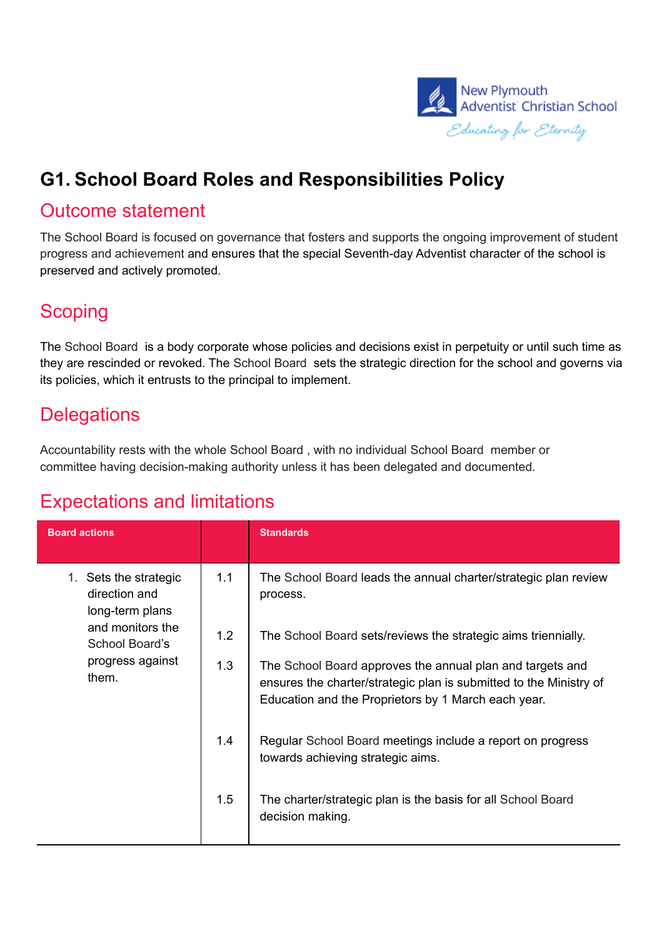

## **G1. School Board Roles and Responsibilities Policy**

#### Outcome statement

The School Board is focused on governance that fosters and supports the ongoing improvement of student progress and achievement and ensures that the special Seventh-day Adventist character of the school is preserved and actively promoted.

### **Scoping**

The School Board is a body corporate whose policies and decisions exist in perpetuity or until such time as they are rescinded or revoked. The School Board sets the strategic direction for the school and governs via its policies, which it entrusts to the principal to implement.

#### **Delegations**

Accountability rests with the whole School Board , with no individual School Board member or committee having decision-making authority unless it has been delegated and documented.

### Expectations and limitations

| <b>Board actions</b>                                      |     | <b>Standards</b>                                                                                                                                                                       |
|-----------------------------------------------------------|-----|----------------------------------------------------------------------------------------------------------------------------------------------------------------------------------------|
| 1. Sets the strategic<br>direction and<br>long-term plans | 1.1 | The School Board leads the annual charter/strategic plan review<br>process.                                                                                                            |
| and monitors the<br>School Board's                        | 1.2 | The School Board sets/reviews the strategic aims triennially.                                                                                                                          |
| progress against<br>them.                                 | 1.3 | The School Board approves the annual plan and targets and<br>ensures the charter/strategic plan is submitted to the Ministry of<br>Education and the Proprietors by 1 March each year. |
|                                                           | 1.4 | Regular School Board meetings include a report on progress<br>towards achieving strategic aims.                                                                                        |
|                                                           | 1.5 | The charter/strategic plan is the basis for all School Board<br>decision making.                                                                                                       |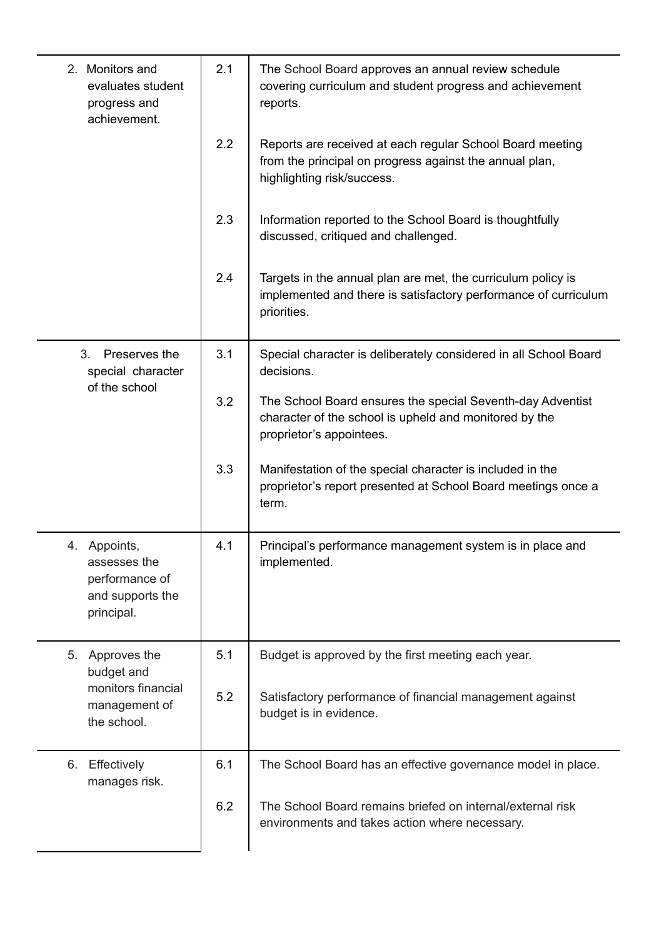| 2. Monitors and<br>evaluates student<br>progress and<br>achievement.             | 2.1 | The School Board approves an annual review schedule<br>covering curriculum and student progress and achievement<br>reports.                        |
|----------------------------------------------------------------------------------|-----|----------------------------------------------------------------------------------------------------------------------------------------------------|
|                                                                                  | 2.2 | Reports are received at each regular School Board meeting<br>from the principal on progress against the annual plan,<br>highlighting risk/success. |
|                                                                                  | 2.3 | Information reported to the School Board is thoughtfully<br>discussed, critiqued and challenged.                                                   |
|                                                                                  | 2.4 | Targets in the annual plan are met, the curriculum policy is<br>implemented and there is satisfactory performance of curriculum<br>priorities.     |
| 3.<br>Preserves the<br>special character<br>of the school                        | 3.1 | Special character is deliberately considered in all School Board<br>decisions.                                                                     |
|                                                                                  | 3.2 | The School Board ensures the special Seventh-day Adventist<br>character of the school is upheld and monitored by the<br>proprietor's appointees.   |
|                                                                                  | 3.3 | Manifestation of the special character is included in the<br>proprietor's report presented at School Board meetings once a<br>term.                |
| 4. Appoints,<br>assesses the<br>performance of<br>and supports the<br>principal. | 4.1 | Principal's performance management system is in place and<br>implemented.                                                                          |
| Approves the<br>5.<br>budget and                                                 | 5.1 | Budget is approved by the first meeting each year.                                                                                                 |
| monitors financial<br>management of<br>the school.                               | 5.2 | Satisfactory performance of financial management against<br>budget is in evidence.                                                                 |
| Effectively<br>6.<br>manages risk.                                               | 6.1 | The School Board has an effective governance model in place.                                                                                       |
|                                                                                  | 6.2 | The School Board remains briefed on internal/external risk<br>environments and takes action where necessary.                                       |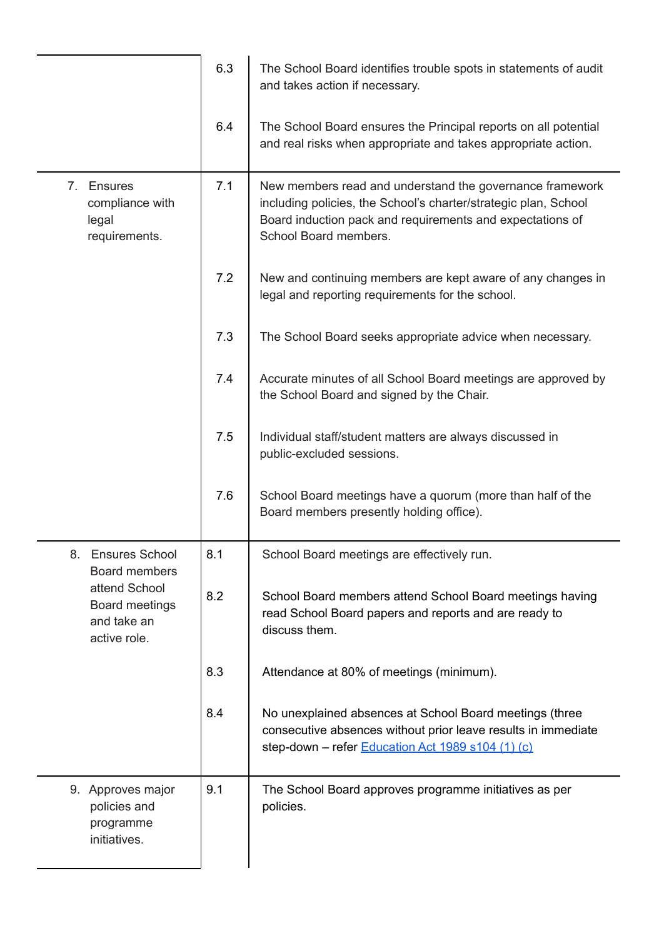|                                                                | 6.3 | The School Board identifies trouble spots in statements of audit<br>and takes action if necessary.                                                                                                                |
|----------------------------------------------------------------|-----|-------------------------------------------------------------------------------------------------------------------------------------------------------------------------------------------------------------------|
|                                                                | 6.4 | The School Board ensures the Principal reports on all potential<br>and real risks when appropriate and takes appropriate action.                                                                                  |
| 7. Ensures<br>compliance with<br>legal<br>requirements.        | 7.1 | New members read and understand the governance framework<br>including policies, the School's charter/strategic plan, School<br>Board induction pack and requirements and expectations of<br>School Board members. |
|                                                                | 7.2 | New and continuing members are kept aware of any changes in<br>legal and reporting requirements for the school.                                                                                                   |
|                                                                | 7.3 | The School Board seeks appropriate advice when necessary.                                                                                                                                                         |
|                                                                | 7.4 | Accurate minutes of all School Board meetings are approved by<br>the School Board and signed by the Chair.                                                                                                        |
|                                                                | 7.5 | Individual staff/student matters are always discussed in<br>public-excluded sessions.                                                                                                                             |
|                                                                | 7.6 | School Board meetings have a quorum (more than half of the<br>Board members presently holding office).                                                                                                            |
| 8. Ensures School<br>Board members                             | 8.1 | School Board meetings are effectively run.                                                                                                                                                                        |
| attend School<br>Board meetings<br>and take an<br>active role. | 8.2 | School Board members attend School Board meetings having<br>read School Board papers and reports and are ready to<br>discuss them.                                                                                |
|                                                                | 8.3 | Attendance at 80% of meetings (minimum).                                                                                                                                                                          |
|                                                                | 8.4 | No unexplained absences at School Board meetings (three<br>consecutive absences without prior leave results in immediate<br>step-down - refer Education Act 1989 s104 (1) (c)                                     |
| 9. Approves major<br>policies and<br>programme<br>initiatives. | 9.1 | The School Board approves programme initiatives as per<br>policies.                                                                                                                                               |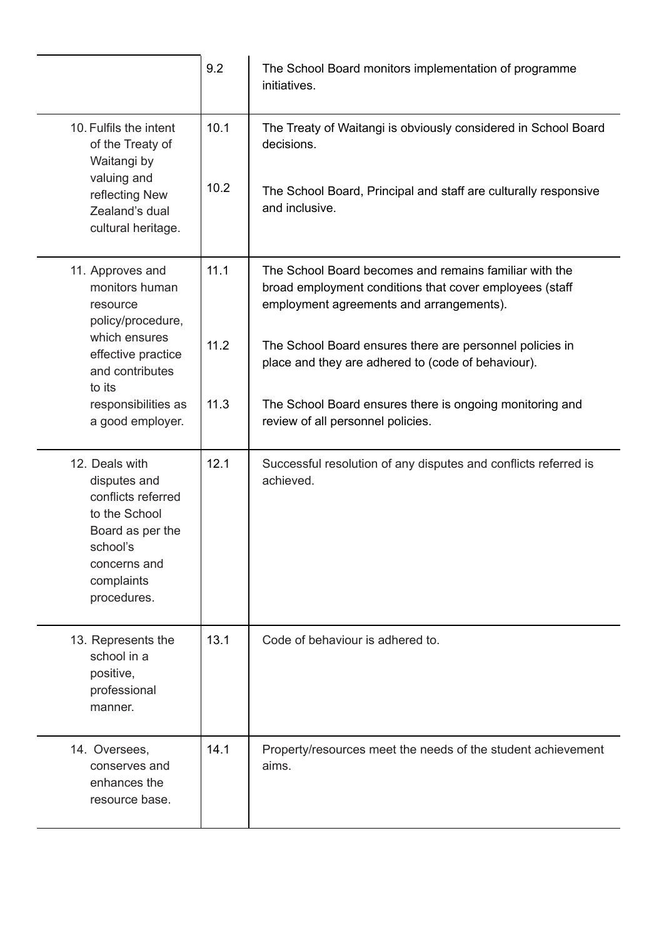|                                                                                                                                                    | 9.2          | The School Board monitors implementation of programme<br>initiatives.                                                                                                                                                                                                           |
|----------------------------------------------------------------------------------------------------------------------------------------------------|--------------|---------------------------------------------------------------------------------------------------------------------------------------------------------------------------------------------------------------------------------------------------------------------------------|
| 10. Fulfils the intent<br>of the Treaty of<br>Waitangi by<br>valuing and<br>reflecting New<br>Zealand's dual<br>cultural heritage.                 | 10.1<br>10.2 | The Treaty of Waitangi is obviously considered in School Board<br>decisions.<br>The School Board, Principal and staff are culturally responsive<br>and inclusive.                                                                                                               |
| 11. Approves and<br>monitors human<br>resource<br>policy/procedure,<br>which ensures<br>effective practice<br>and contributes<br>to its            | 11.1<br>11.2 | The School Board becomes and remains familiar with the<br>broad employment conditions that cover employees (staff<br>employment agreements and arrangements).<br>The School Board ensures there are personnel policies in<br>place and they are adhered to (code of behaviour). |
| responsibilities as<br>a good employer.                                                                                                            | 11.3         | The School Board ensures there is ongoing monitoring and<br>review of all personnel policies.                                                                                                                                                                                   |
| 12. Deals with<br>disputes and<br>conflicts referred<br>to the School<br>Board as per the<br>school's<br>concerns and<br>complaints<br>procedures. | 12.1         | Successful resolution of any disputes and conflicts referred is<br>achieved.                                                                                                                                                                                                    |
| 13. Represents the<br>school in a<br>positive,<br>professional<br>manner.                                                                          | 13.1         | Code of behaviour is adhered to.                                                                                                                                                                                                                                                |
| 14. Oversees,<br>conserves and<br>enhances the<br>resource base.                                                                                   | 14.1         | Property/resources meet the needs of the student achievement<br>aims.                                                                                                                                                                                                           |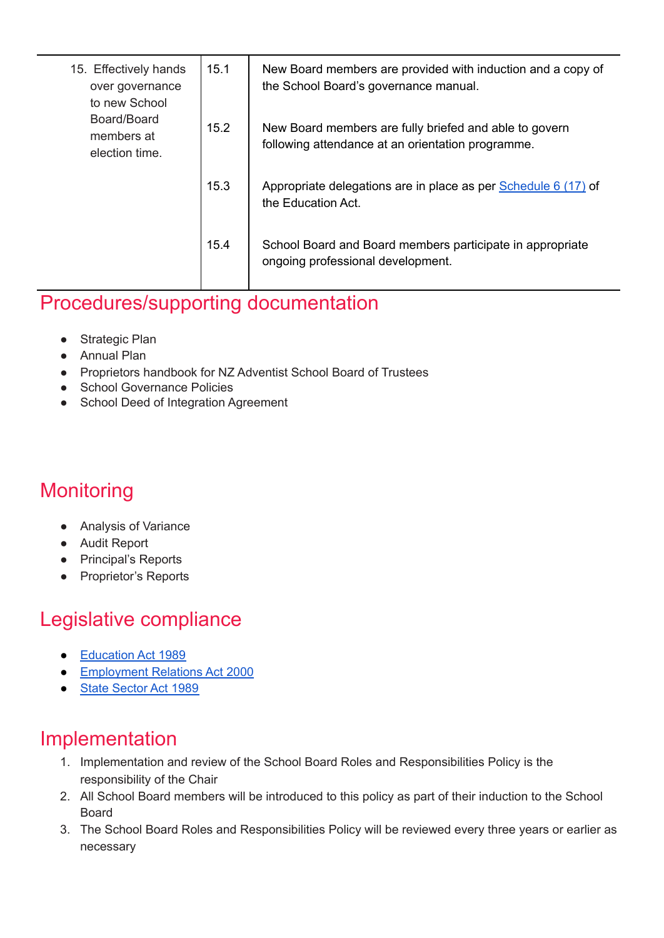| 15. Effectively hands<br>over governance<br>to new School<br>Board/Board<br>members at<br>election time. | 15.1 | New Board members are provided with induction and a copy of<br>the School Board's governance manual.        |
|----------------------------------------------------------------------------------------------------------|------|-------------------------------------------------------------------------------------------------------------|
|                                                                                                          | 15.2 | New Board members are fully briefed and able to govern<br>following attendance at an orientation programme. |
|                                                                                                          | 15.3 | Appropriate delegations are in place as per Schedule 6 (17) of<br>the Education Act.                        |
|                                                                                                          | 15.4 | School Board and Board members participate in appropriate<br>ongoing professional development.              |

## Procedures/supporting documentation

- Strategic Plan
- Annual Plan
- Proprietors handbook for NZ Adventist School Board of Trustees
- School Governance Policies
- School Deed of Integration Agreement

# **Monitoring**

- Analysis of Variance
- Audit Report
- Principal's Reports
- Proprietor's Reports

# Legislative compliance

- [Education](http://www.legislation.govt.nz/act/public/1989/0080/latest/DLM175959.html) Act 1989
- [Employment](http://www.legislation.govt.nz/act/public/2000/0024/latest/DLM58317.html?src=qs) Relations Act 2000
- State [Sector](http://www.legislation.govt.nz/act/public/1988/0020/latest/DLM129110.html?src=qs) Act 1989

### Implementation

- 1. Implementation and review of the School Board Roles and Responsibilities Policy is the responsibility of the Chair
- 2. All School Board members will be introduced to this policy as part of their induction to the School Board
- 3. The School Board Roles and Responsibilities Policy will be reviewed every three years or earlier as necessary